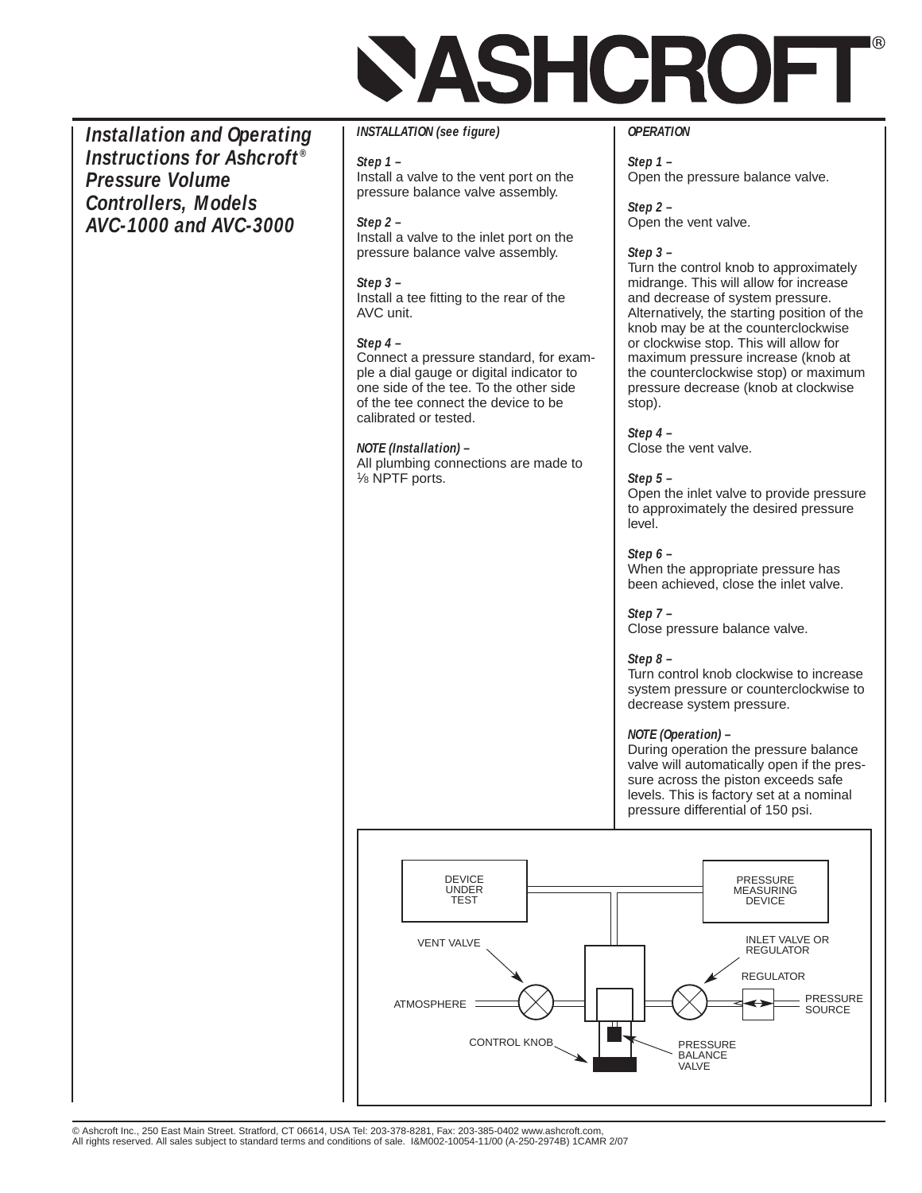# **ASHCROFI**

*Installation and Operating Instructions for Ashcroft® Pressure Volume Controllers, Models AVC-1000 and AVC-3000*

*INSTALLATION (see figure)*

*Step 1 –* Install a valve to the vent port on the pressure balance valve assembly.

*Step 2 –* Install a valve to the inlet port on the pressure balance valve assembly.

*Step 3 –* Install a tee fitting to the rear of the AVC unit.

# *Step 4 –*

Connect a pressure standard, for example a dial gauge or digital indicator to one side of the tee. To the other side of the tee connect the device to be calibrated or tested.

# *NOTE (Installation) –*

All plumbing connections are made to 1⁄8 NPTF ports.

## *OPERATION*

*Step 1 –* Open the pressure balance valve.

*Step 2 –* Open the vent valve.

## *Step 3 –*

Turn the control knob to approximately midrange. This will allow for increase and decrease of system pressure. Alternatively, the starting position of the knob may be at the counterclockwise or clockwise stop. This will allow for maximum pressure increase (knob at the counterclockwise stop) or maximum pressure decrease (knob at clockwise stop).

*Step 4 –* Close the vent valve.

#### *Step 5 –*

Open the inlet valve to provide pressure to approximately the desired pressure level.

*Step 6 –* When the appropriate pressure has

been achieved, close the inlet valve.

*Step 7 –*

Close pressure balance valve.

# *Step 8 –*

Turn control knob clockwise to increase system pressure or counterclockwise to decrease system pressure.

#### *NOTE (Operation) –*

During operation the pressure balance valve will automatically open if the pressure across the piston exceeds safe levels. This is factory set at a nominal pressure differential of 150 psi.